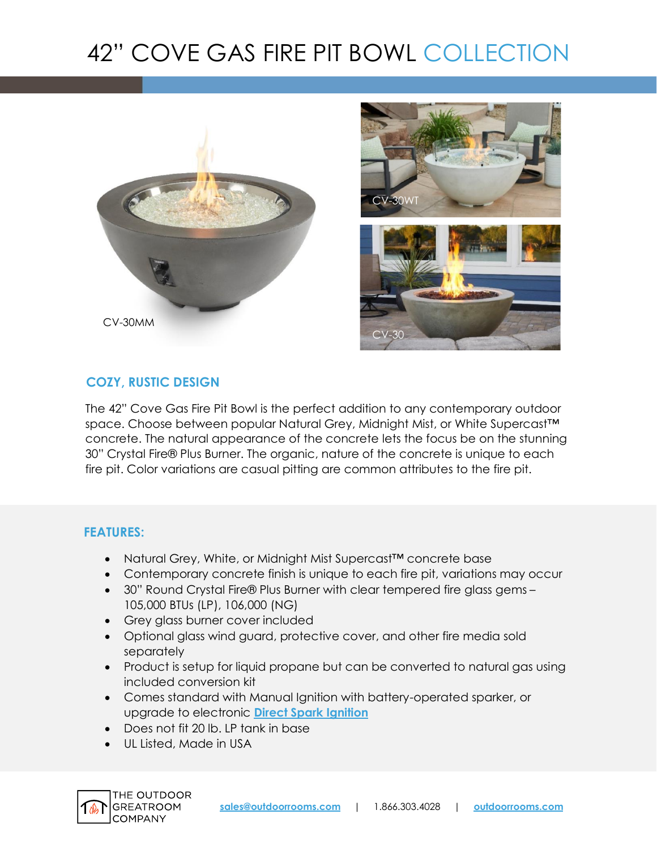# 42" COVE GAS FIRE PIT BOWL COLLECTION





# **COZY, RUSTIC DESIGN**

The 42" Cove Gas Fire Pit Bowl is the perfect addition to any contemporary outdoor space. Choose between popular Natural Grey, Midnight Mist, or White Supercast™ concrete. The natural appearance of the concrete lets the focus be on the stunning 30" Crystal Fire® Plus Burner. The organic, nature of the concrete is unique to each fire pit. Color variations are casual pitting are common attributes to the fire pit.

## **FEATURES:**

- Natural Grey, White, or Midnight Mist Supercast™ concrete base
- Contemporary concrete finish is unique to each fire pit, variations may occur
- 30" Round Crystal Fire® Plus Burner with clear tempered fire glass gems 105,000 BTUs (LP), 106,000 (NG)
- Grey glass burner cover included
- Optional glass wind guard, protective cover, and other fire media sold separately
- Product is setup for liquid propane but can be converted to natural gas using included conversion kit
- Comes standard with Manual Ignition with battery-operated sparker, or upgrade to electronic **[Direct Spark Ignition](https://www.outdoorrooms.com/sites/default/files/files/direct-spark-ignition-info-sheet.pdf)**
- Does not fit 20 lb. LP tank in base
- UL Listed, Made in USA